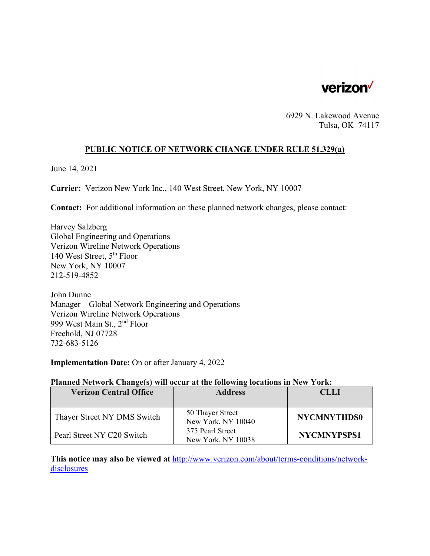

6929 N. Lakewood Avenue Tulsa, OK 74117

### **PUBLIC NOTICE OF NETWORK CHANGE UNDER RULE 51.329(a)**

June 14, 2021

**Carrier:** Verizon New York Inc., 140 West Street, New York, NY 10007

**Contact:** For additional information on these planned network changes, please contact:

Harvey Salzberg Global Engineering and Operations Verizon Wireline Network Operations 140 West Street, 5th Floor New York, NY 10007 212-519-4852

John Dunne Manager – Global Network Engineering and Operations Verizon Wireline Network Operations 999 West Main St., 2nd Floor Freehold, NJ 07728 732-683-5126

**Implementation Date:** On or after January 4, 2022

#### **Planned Network Change(s) will occur at the following locations in New York:**

| <b>Verizon Central Office</b> | <b>Address</b>                         | CLLI               |
|-------------------------------|----------------------------------------|--------------------|
|                               |                                        |                    |
| Thayer Street NY DMS Switch   | 50 Thayer Street<br>New York, NY 10040 | <b>NYCMNYTHDS0</b> |
| Pearl Street NY C20 Switch    | 375 Pearl Street<br>New York, NY 10038 | <b>NYCMNYPSPS1</b> |

**This notice may also be viewed at** http://www.verizon.com/about/terms-conditions/networkdisclosures